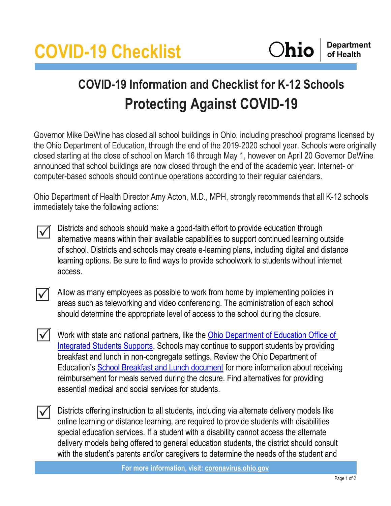

## **COVID-19 Information and Checklist for K-12 Schools Protecting Against COVID-19**

Governor Mike DeWine has closed all school buildings in Ohio, including preschool programs licensed by the Ohio Department of Education, through the end of the 2019-2020 school year. Schools were originally closed starting at the close of school on March 16 through May 1, however on April 20 Governor DeWine announced that school buildings are now closed through the end of the academic year. Internet- or computer-based schools should continue operations according to their regular calendars.

Ohio Department of Health Director Amy Acton, M.D., MPH, strongly recommends that all K-12 schools immediately take the following actions:

 $\Delta$ 

Districts and schools should make a good-faith effort to provide education through alternative means within their available capabilities to support continued learning outside of school. Districts and schools may create e-learning plans, including digital and distance learning options. Be sure to find ways to provide schoolwork to students without internet access.

 $\vert \sqrt{\vert}$ 

Allow as many employees as possible to work from home by implementing policies in areas such as teleworking and video conferencing. The administration of each school should determine the appropriate level of access to the school during the closure.

- Work with state and national partners, like the [Ohio Department of Education Office of](http://education.ohio.gov/Topics/Student-Supports)  [Integrated Students](http://education.ohio.gov/Topics/Student-Supports) Supports. Schools may continue to support students by providing breakfast and lunch in non-congregate settings. Review the Ohio Department of Education's [School Breakfast and Lunch document](http://education.ohio.gov/getattachment/Topics/Student-Supports/Coronavirus/Child-Nutrition-%E2%80%93-School-Breakfast-and-Lunch.pdf.aspx?lang=en-US) for more information about receiving reimbursement for meals served during the closure. Find alternatives for providing essential medical and social services for students.  $\mathcal{M}$
- $\Delta$

Districts offering instruction to all students, including via alternate delivery models like online learning or distance learning, are required to provide students with disabilities special education services. If a student with a disability cannot access the alternate delivery models being offered to general education students, the district should consult with the student's parents and/or caregivers to determine the needs of the student and